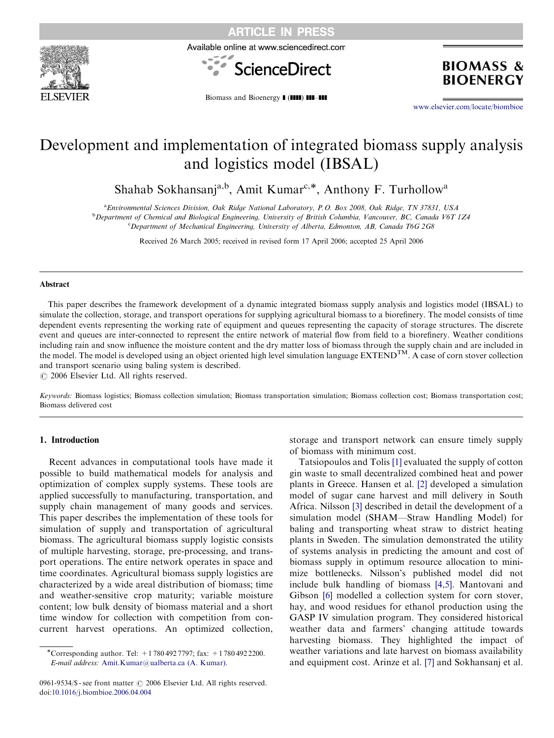

Available online at www.sciencedirect.com





Biomass and Bioenergy I (IIII) III-III

<www.elsevier.com/locate/biombioe>

# Development and implementation of integrated biomass supply analysis and logistics model (IBSAL)

Shahab Sokhansanj<sup>a,b</sup>, Amit Kumar<sup>c,\*</sup>, Anthony F. Turhollow<sup>a</sup>

<sup>a</sup> Environmental Sciences Division, Oak Ridge National Laboratory, P.O. Box 2008, Oak Ridge, TN 37831, USA

<sup>b</sup> Department of Chemical and Biological Engineering, University of British Columbia, Vancouver, BC, Canada V6T 1Z4

<sup>c</sup>Department of Mechanical Engineering, University of Alberta, Edmonton, AB, Canada T6G 2G8

Received 26 March 2005; received in revised form 17 April 2006; accepted 25 April 2006

#### Abstract

This paper describes the framework development of a dynamic integrated biomass supply analysis and logistics model (IBSAL) to simulate the collection, storage, and transport operations for supplying agricultural biomass to a biorefinery. The model consists of time dependent events representing the working rate of equipment and queues representing the capacity of storage structures. The discrete event and queues are inter-connected to represent the entire network of material flow from field to a biorefinery. Weather conditions including rain and snow influence the moisture content and the dry matter loss of biomass through the supply chain and are included in the model. The model is developed using an object oriented high level simulation language  $\text{EXTEND}^{\text{TM}}$ . A case of corn stover collection and transport scenario using baling system is described.

 $\odot$  2006 Elsevier Ltd. All rights reserved.

Keywords: Biomass logistics; Biomass collection simulation; Biomass transportation simulation; Biomass collection cost; Biomass transportation cost; Biomass delivered cost

#### 1. Introduction

Recent advances in computational tools have made it possible to build mathematical models for analysis and optimization of complex supply systems. These tools are applied successfully to manufacturing, transportation, and supply chain management of many goods and services. This paper describes the implementation of these tools for simulation of supply and transportation of agricultural biomass. The agricultural biomass supply logistic consists of multiple harvesting, storage, pre-processing, and transport operations. The entire network operates in space and time coordinates. Agricultural biomass supply logistics are characterized by a wide areal distribution of biomass; time and weather-sensitive crop maturity; variable moisture content; low bulk density of biomass material and a short time window for collection with competition from concurrent harvest operations. An optimized collection, storage and transport network can ensure timely supply of biomass with minimum cost.

Tatsiopoulos and Tolis [\[1\]](#page-8-0) evaluated the supply of cotton gin waste to small decentralized combined heat and power plants in Greece. Hansen et al. [\[2\]](#page-9-0) developed a simulation model of sugar cane harvest and mill delivery in South Africa. Nilsson [\[3\]](#page-9-0) described in detail the development of a simulation model (SHAM—Straw Handling Model) for baling and transporting wheat straw to district heating plants in Sweden. The simulation demonstrated the utility of systems analysis in predicting the amount and cost of biomass supply in optimum resource allocation to minimize bottlenecks. Nilsson's published model did not include bulk handling of biomass [\[4,5\]](#page-9-0). Mantovani and Gibson [\[6\]](#page-9-0) modelled a collection system for corn stover, hay, and wood residues for ethanol production using the GASP IV simulation program. They considered historical weather data and farmers' changing attitude towards harvesting biomass. They highlighted the impact of weather variations and late harvest on biomass availability and equipment cost. Arinze et al. [\[7\]](#page-9-0) and Sokhansanj et al.

<sup>\*</sup>Corresponding author. Tel:  $+17804927797$ ; fax:  $+17804922200$ . E-mail address: [Amit.Kumar@ualberta.ca \(A. Kumar\).](mailto:Amit.Kumar@ualberta.ca)

<sup>0961-9534/\$ -</sup> see front matter  $\odot$  2006 Elsevier Ltd. All rights reserved. doi:[10.1016/j.biombioe.2006.04.004](dx.doi.org/10.1016/j.biombioe.2006.04.004)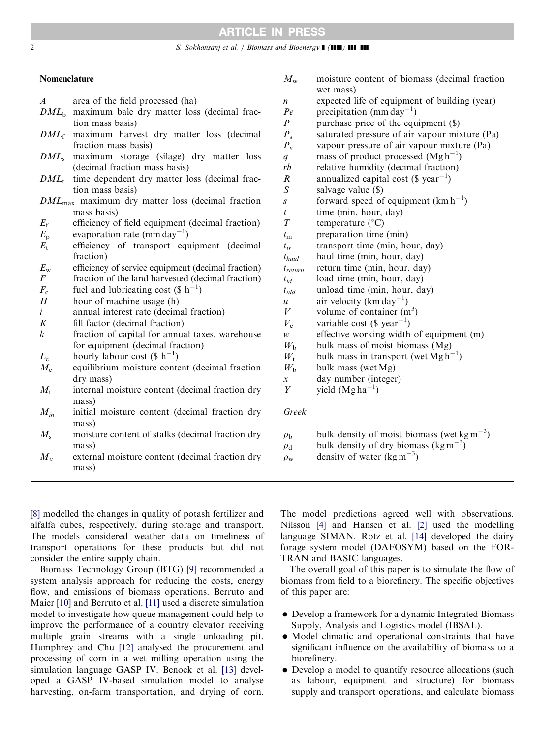- A area of the field processed (ha)
- $DML_b$  maximum bale dry matter loss (decimal fraction mass basis)
- DML<sup>f</sup> maximum harvest dry matter loss (decimal fraction mass basis)
- DML<sup>s</sup> maximum storage (silage) dry matter loss (decimal fraction mass basis)
- $DML_t$  time dependent dry matter loss (decimal fraction mass basis)
- $DML_{\text{max}}$  maximum dry matter loss (decimal fraction mass basis)

 $E_f$  efficiency of field equipment (decimal fraction)

- $E_p$  evaporation rate (mm day<sup>-1</sup>)
- $\overrightarrow{E}_t$  efficiency of transport equipment (decimal fraction)
- $E_w$  efficiency of service equipment (decimal fraction)<br> $F$  fraction of the land harvested (decimal fraction)
- fraction of the land harvested (decimal fraction)
- $F_c$  fuel and lubricating cost (\$ h<sup>-1</sup>)
- $H$  hour of machine usage (h)
- $i$  annual interest rate (decimal fraction)
- $K$  fill factor (decimal fraction)
- $k$  fraction of capital for annual taxes, warehouse for equipment (decimal fraction)
- $L_c$  hourly labour cost (\$ h<sup>-1</sup>)
- $M_e$  equilibrium moisture content (decimal fraction dry mass)
- $M<sub>i</sub>$  internal moisture content (decimal fraction dry mass)
- $M_{in}$  initial moisture content (decimal fraction dry mass)
- $M<sub>s</sub>$  moisture content of stalks (decimal fraction dry mass)
- $M_x$  external moisture content (decimal fraction dry mass)

| $M_{\rm w}$      | moisture content of biomass (decimal fraction   |
|------------------|-------------------------------------------------|
|                  | wet mass)                                       |
| n                | expected life of equipment of building (year)   |
| Pe               | precipitation (mm day <sup>-1</sup> )           |
| $\boldsymbol{P}$ | purchase price of the equipment (\$)            |
| $P_{\rm s}$      | saturated pressure of air vapour mixture (Pa)   |
| $P_{\rm v}$      | vapour pressure of air vapour mixture (Pa)      |
| q                | mass of product processed $(Mgh^{-1})$          |
| rh               | relative humidity (decimal fraction)            |
| $\boldsymbol{R}$ | annualized capital cost $(\text{\$ year}^{-1})$ |
| $\boldsymbol{S}$ | salvage value (\$)                              |
| $\boldsymbol{S}$ | forward speed of equipment $(km h^{-1})$        |
| $\mathfrak{t}$   | time (min, hour, day)                           |
| T                | temperature $(^{\circ}C)$                       |
| $t_{\rm m}$      | preparation time (min)                          |
| $t_{tr}$         | transport time (min, hour, day)                 |
| $t_{haul}$       | haul time (min, hour, day)                      |
| $t_{return}$     | return time (min, hour, day)                    |
| $t_{ld}$         | load time (min, hour, day)                      |
| $t_{uld}$        | unload time (min, hour, day)                    |
| $\boldsymbol{u}$ | air velocity ( $\text{km} \, \text{day}^{-1}$ ) |
| V                | volume of container $(m^3)$                     |
| $V_{\rm c}$      | variable cost $(\text{S year}^{-1})$            |
| w                | effective working width of equipment (m)        |
| $W_{\rm h}$      | bulk mass of moist biomass (Mg)                 |
| $W_{t}$          | bulk mass in transport (wet $Mgh^{-1}$ )        |
| $W_{\rm b}$      | bulk mass (wet Mg)                              |
| $\chi$           | day number (integer)                            |
| Y                | yield $(Mg ha^{-1})$                            |
|                  |                                                 |
| Greek            |                                                 |

```
\rho_b bulk density of moist biomass (wet kg m<sup>-3</sup>)
\rho_d bulk density of dry biomass (kg m<sup>-3</sup>)
\rho_w density of water (kg m<sup>-3</sup>)
```
[\[8\]](#page-9-0) modelled the changes in quality of potash fertilizer and alfalfa cubes, respectively, during storage and transport. The models considered weather data on timeliness of transport operations for these products but did not consider the entire supply chain.

Biomass Technology Group (BTG) [\[9\]](#page-9-0) recommended a system analysis approach for reducing the costs, energy flow, and emissions of biomass operations. Berruto and Maier [\[10\]](#page-9-0) and Berruto et al. [\[11\]](#page-9-0) used a discrete simulation model to investigate how queue management could help to improve the performance of a country elevator receiving multiple grain streams with a single unloading pit. Humphrey and Chu [\[12\]](#page-9-0) analysed the procurement and processing of corn in a wet milling operation using the simulation language GASP IV. Benock et al. [\[13\]](#page-9-0) developed a GASP IV-based simulation model to analyse harvesting, on-farm transportation, and drying of corn. The model predictions agreed well with observations. Nilsson [\[4\]](#page-9-0) and Hansen et al. [\[2\]](#page-9-0) used the modelling language SIMAN. Rotz et al. [\[14\]](#page-9-0) developed the dairy forage system model (DAFOSYM) based on the FOR-TRAN and BASIC languages.

The overall goal of this paper is to simulate the flow of biomass from field to a biorefinery. The specific objectives of this paper are:

- Develop a framework for a dynamic Integrated Biomass Supply, Analysis and Logistics model (IBSAL).
- Model climatic and operational constraints that have significant influence on the availability of biomass to a biorefinery.
- Develop a model to quantify resource allocations (such as labour, equipment and structure) for biomass supply and transport operations, and calculate biomass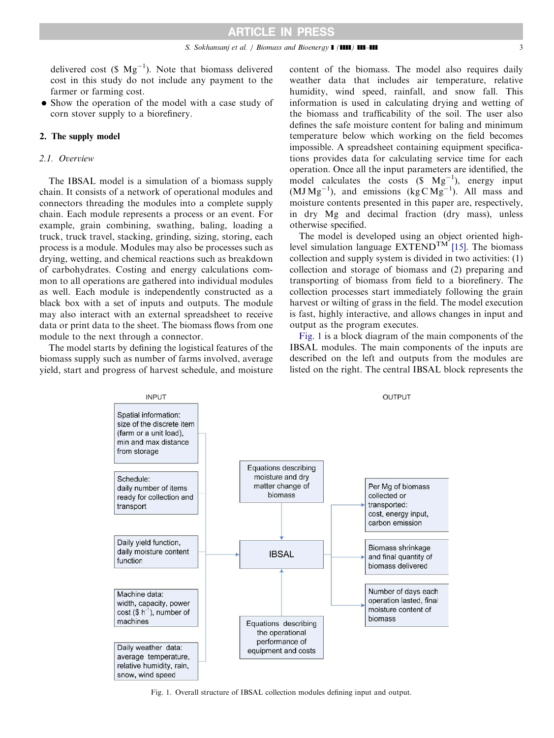delivered cost (\$  $Mg^{-1}$ ). Note that biomass delivered cost in this study do not include any payment to the farmer or farming cost.

• Show the operation of the model with a case study of corn stover supply to a biorefinery.

#### 2. The supply model

### 2.1. Overview

The IBSAL model is a simulation of a biomass supply chain. It consists of a network of operational modules and connectors threading the modules into a complete supply chain. Each module represents a process or an event. For example, grain combining, swathing, baling, loading a truck, truck travel, stacking, grinding, sizing, storing, each process is a module. Modules may also be processes such as drying, wetting, and chemical reactions such as breakdown of carbohydrates. Costing and energy calculations common to all operations are gathered into individual modules as well. Each module is independently constructed as a black box with a set of inputs and outputs. The module may also interact with an external spreadsheet to receive data or print data to the sheet. The biomass flows from one module to the next through a connector.

The model starts by defining the logistical features of the biomass supply such as number of farms involved, average yield, start and progress of harvest schedule, and moisture content of the biomass. The model also requires daily weather data that includes air temperature, relative humidity, wind speed, rainfall, and snow fall. This information is used in calculating drying and wetting of the biomass and trafficability of the soil. The user also defines the safe moisture content for baling and minimum temperature below which working on the field becomes impossible. A spreadsheet containing equipment specifications provides data for calculating service time for each operation. Once all the input parameters are identified, the model calculates the costs  $(S \t Mg^{-1})$ , energy input  $(MJ Mg^{-1})$ , and emissions  $(kg CMg^{-1})$ . All mass and moisture contents presented in this paper are, respectively, in dry Mg and decimal fraction (dry mass), unless otherwise specified.

The model is developed using an object oriented highlevel simulation language  $\widetilde{\mathrm{EXTEND}}^{\mathrm{TM}}$  [\[15\]](#page-9-0). The biomass collection and supply system is divided in two activities: (1) collection and storage of biomass and (2) preparing and transporting of biomass from field to a biorefinery. The collection processes start immediately following the grain harvest or wilting of grass in the field. The model execution is fast, highly interactive, and allows changes in input and output as the program executes.

Fig. 1 is a block diagram of the main components of the IBSAL modules. The main components of the inputs are described on the left and outputs from the modules are listed on the right. The central IBSAL block represents the



Fig. 1. Overall structure of IBSAL collection modules defining input and output.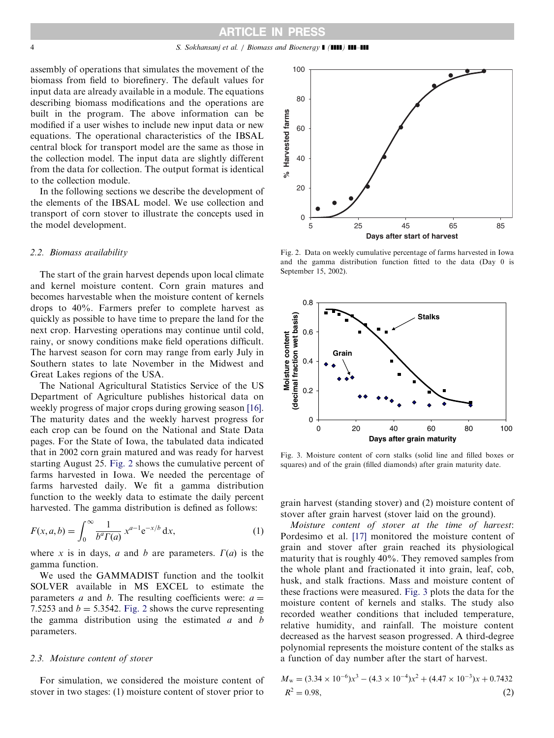<span id="page-3-0"></span>assembly of operations that simulates the movement of the biomass from field to biorefinery. The default values for input data are already available in a module. The equations describing biomass modifications and the operations are built in the program. The above information can be modified if a user wishes to include new input data or new equations. The operational characteristics of the IBSAL central block for transport model are the same as those in the collection model. The input data are slightly different from the data for collection. The output format is identical to the collection module.

In the following sections we describe the development of the elements of the IBSAL model. We use collection and transport of corn stover to illustrate the concepts used in the model development.

#### 2.2. Biomass availability

The start of the grain harvest depends upon local climate and kernel moisture content. Corn grain matures and becomes harvestable when the moisture content of kernels drops to 40%. Farmers prefer to complete harvest as quickly as possible to have time to prepare the land for the next crop. Harvesting operations may continue until cold, rainy, or snowy conditions make field operations difficult. The harvest season for corn may range from early July in Southern states to late November in the Midwest and Great Lakes regions of the USA.

The National Agricultural Statistics Service of the US Department of Agriculture publishes historical data on weekly progress of major crops during growing season [\[16\]](#page-9-0). The maturity dates and the weekly harvest progress for each crop can be found on the National and State Data pages. For the State of Iowa, the tabulated data indicated that in 2002 corn grain matured and was ready for harvest starting August 25. Fig. 2 shows the cumulative percent of farms harvested in Iowa. We needed the percentage of farms harvested daily. We fit a gamma distribution function to the weekly data to estimate the daily percent harvested. The gamma distribution is defined as follows:

$$
F(x, a, b) = \int_0^\infty \frac{1}{b^a \Gamma(a)} x^{a-1} e^{-x/b} dx,
$$
 (1)

where x is in days, a and b are parameters.  $\Gamma(a)$  is the gamma function.

We used the GAMMADIST function and the toolkit SOLVER available in MS EXCEL to estimate the parameters a and b. The resulting coefficients were:  $a =$ 7.5253 and  $b = 5.3542$ . Fig. 2 shows the curve representing the gamma distribution using the estimated  $a$  and  $b$ parameters.

#### 2.3. Moisture content of stover

For simulation, we considered the moisture content of stover in two stages: (1) moisture content of stover prior to



Fig. 2. Data on weekly cumulative percentage of farms harvested in Iowa and the gamma distribution function fitted to the data (Day 0 is September 15, 2002).



Fig. 3. Moisture content of corn stalks (solid line and filled boxes or squares) and of the grain (filled diamonds) after grain maturity date.

grain harvest (standing stover) and (2) moisture content of stover after grain harvest (stover laid on the ground).

Moisture content of stover at the time of harvest: Pordesimo et al. [\[17\]](#page-9-0) monitored the moisture content of grain and stover after grain reached its physiological maturity that is roughly 40%. They removed samples from the whole plant and fractionated it into grain, leaf, cob, husk, and stalk fractions. Mass and moisture content of these fractions were measured. Fig. 3 plots the data for the moisture content of kernels and stalks. The study also recorded weather conditions that included temperature, relative humidity, and rainfall. The moisture content decreased as the harvest season progressed. A third-degree polynomial represents the moisture content of the stalks as a function of day number after the start of harvest.

$$
M_{\rm w} = (3.34 \times 10^{-6})x^3 - (4.3 \times 10^{-4})x^2 + (4.47 \times 10^{-3})x + 0.7432
$$
  

$$
R^2 = 0.98,
$$
 (2)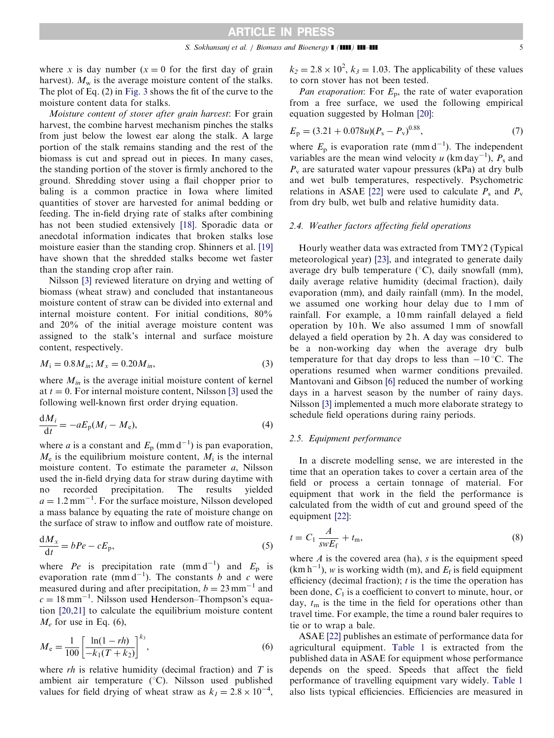where x is day number  $(x = 0$  for the first day of grain harvest).  $M_{\rm w}$  is the average moisture content of the stalks. The plot of Eq. (2) in [Fig. 3](#page-3-0) shows the fit of the curve to the moisture content data for stalks.

Moisture content of stover after grain harvest: For grain harvest, the combine harvest mechanism pinches the stalks from just below the lowest ear along the stalk. A large portion of the stalk remains standing and the rest of the biomass is cut and spread out in pieces. In many cases, the standing portion of the stover is firmly anchored to the ground. Shredding stover using a flail chopper prior to baling is a common practice in Iowa where limited quantities of stover are harvested for animal bedding or feeding. The in-field drying rate of stalks after combining has not been studied extensively [\[18\]](#page-9-0). Sporadic data or anecdotal information indicates that broken stalks lose moisture easier than the standing crop. Shinners et al. [\[19\]](#page-9-0) have shown that the shredded stalks become wet faster than the standing crop after rain.

Nilsson [\[3\]](#page-9-0) reviewed literature on drying and wetting of biomass (wheat straw) and concluded that instantaneous moisture content of straw can be divided into external and internal moisture content. For initial conditions, 80% and 20% of the initial average moisture content was assigned to the stalk's internal and surface moisture content, respectively.

$$
M_{\rm i} = 0.8 M_{\rm in}; M_{\rm x} = 0.20 M_{\rm in}, \tag{3}
$$

where  $M_{in}$  is the average initial moisture content of kernel at  $t = 0$ . For internal moisture content, Nilsson [\[3\]](#page-9-0) used the following well-known first order drying equation.

$$
\frac{\mathrm{d}M_i}{\mathrm{d}t} = -aE_\text{p}(M_i - M_\text{e}),\tag{4}
$$

where *a* is a constant and  $E_p$  (mm d<sup>-1</sup>) is pan evaporation,  $M_e$  is the equilibrium moisture content,  $M_i$  is the internal moisture content. To estimate the parameter a, Nilsson used the in-field drying data for straw during daytime with no recorded precipitation. The results yielded  $a = 1.2$  mm<sup>-1</sup>. For the surface moisture, Nilsson developed a mass balance by equating the rate of moisture change on the surface of straw to inflow and outflow rate of moisture.

$$
\frac{\mathrm{d}M_x}{\mathrm{d}t} = bPe - cE_p,\tag{5}
$$

where  $Pe$  is precipitation rate (mm d<sup>-1</sup>) and  $E_p$  is evaporation rate (mm  $d^{-1}$ ). The constants b and c were measured during and after precipitation,  $b = 23$  mm<sup>-1</sup> and  $c = 18$  mm<sup>-1</sup>. Nilsson used Henderson-Thompson's equation [\[20,21\]](#page-9-0) to calculate the equilibrium moisture content  $M_e$  for use in Eq. (6),

$$
M_{\rm e} = \frac{1}{100} \left[ \frac{\ln(1 - rh)}{-k_1(T + k_2)} \right]^{k_3},\tag{6}
$$

where  $rh$  is relative humidity (decimal fraction) and  $T$  is ambient air temperature  $(^{\circ}C)$ . Nilsson used published values for field drying of wheat straw as  $k_1 = 2.8 \times 10^{-4}$ ,

 $k_2 = 2.8 \times 10^2$ ,  $k_3 = 1.03$ . The applicability of these values to corn stover has not been tested.

Pan evaporation: For  $E_p$ , the rate of water evaporation from a free surface, we used the following empirical equation suggested by Holman [\[20\]](#page-9-0):

$$
E_p = (3.21 + 0.078u)(P_s - P_v)^{0.88},\tag{7}
$$

where  $E_p$  is evaporation rate (mm d<sup>-1</sup>). The independent variables are the mean wind velocity u (km day<sup>-1</sup>),  $P_s$  and  $P<sub>v</sub>$  are saturated water vapour pressures (kPa) at dry bulb and wet bulb temperatures, respectively. Psychometric relations in ASAE [\[22\]](#page-9-0) were used to calculate  $P_s$  and  $P_v$ from dry bulb, wet bulb and relative humidity data.

#### 2.4. Weather factors affecting field operations

Hourly weather data was extracted from TMY2 (Typical meteorological year) [\[23\]](#page-9-0), and integrated to generate daily average dry bulb temperature  $(°C)$ , daily snowfall (mm), daily average relative humidity (decimal fraction), daily evaporation (mm), and daily rainfall (mm). In the model, we assumed one working hour delay due to 1 mm of rainfall. For example, a 10 mm rainfall delayed a field operation by 10 h. We also assumed 1 mm of snowfall delayed a field operation by 2 h. A day was considered to be a non-working day when the average dry bulb temperature for that day drops to less than  $-10^{\circ}$ C. The operations resumed when warmer conditions prevailed. Mantovani and Gibson [\[6\]](#page-9-0) reduced the number of working days in a harvest season by the number of rainy days. Nilsson [\[3\]](#page-9-0) implemented a much more elaborate strategy to schedule field operations during rainy periods.

#### 2.5. Equipment performance

In a discrete modelling sense, we are interested in the time that an operation takes to cover a certain area of the field or process a certain tonnage of material. For equipment that work in the field the performance is calculated from the width of cut and ground speed of the equipment [\[22\]](#page-9-0):

$$
t = C_1 \frac{A}{swE_f} + t_m,
$$
\n(8)

where  $A$  is the covered area (ha),  $s$  is the equipment speed  $(km h^{-1})$ , w is working width (m), and  $E_f$  is field equipment efficiency (decimal fraction);  $t$  is the time the operation has been done,  $C_1$  is a coefficient to convert to minute, hour, or day,  $t_m$  is the time in the field for operations other than travel time. For example, the time a round baler requires to tie or to wrap a bale.

ASAE [\[22\]](#page-9-0) publishes an estimate of performance data for agricultural equipment. [Table 1](#page-5-0) is extracted from the published data in ASAE for equipment whose performance depends on the speed. Speeds that affect the field performance of travelling equipment vary widely. [Table 1](#page-5-0) also lists typical efficiencies. Efficiencies are measured in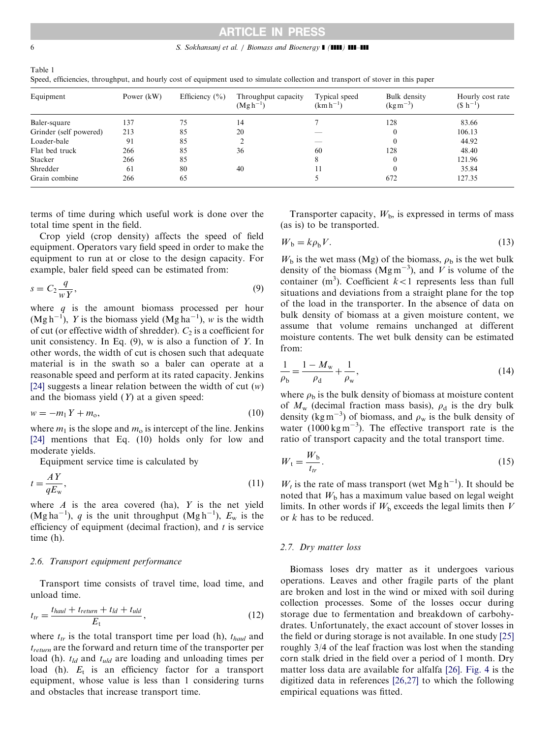#### <span id="page-5-0"></span>6 Sokhansanj et al. / Biomass and Bioenergy **[ (IIII) III-III**  $\sim$

| Table 1                                                                                                                         |  |
|---------------------------------------------------------------------------------------------------------------------------------|--|
| Speed, efficiencies, throughput, and hourly cost of equipment used to simulate collection and transport of stover in this paper |  |

| Equipment              | Power $(kW)$ | Efficiency $(\% )$ | Throughput capacity<br>$(Mgh^{-1})$ | Typical speed<br>$(km h^{-1})$ | Bulk density<br>$(\text{kg m}^{-3})$ | Hourly cost rate<br>$(S \; h^{-1})$ |
|------------------------|--------------|--------------------|-------------------------------------|--------------------------------|--------------------------------------|-------------------------------------|
| Baler-square           | 137          | 75                 | 14                                  |                                | 128                                  | 83.66                               |
| Grinder (self powered) | 213          | 85                 | 20                                  |                                | 0                                    | 106.13                              |
| Loader-bale            | 91           | 85                 |                                     | $-$                            | 0                                    | 44.92                               |
| Flat bed truck         | 266          | 85                 | 36                                  | 60                             | 128                                  | 48.40                               |
| Stacker                | 266          | 85                 |                                     | 8                              |                                      | 121.96                              |
| Shredder               | 61           | 80                 | 40                                  | 11                             |                                      | 35.84                               |
| Grain combine          | 266          | 65                 |                                     |                                | 672                                  | 127.35                              |

terms of time during which useful work is done over the total time spent in the field.

Crop yield (crop density) affects the speed of field equipment. Operators vary field speed in order to make the equipment to run at or close to the design capacity. For example, baler field speed can be estimated from:

$$
s = C_2 \frac{q}{wY},\tag{9}
$$

where  $q$  is the amount biomass processed per hour  $(Mgh^{-1})$ , Y is the biomass yield  $(Mgha^{-1})$ , w is the width of cut (or effective width of shredder).  $C_2$  is a coefficient for unit consistency. In Eq.  $(9)$ , w is also a function of Y. In other words, the width of cut is chosen such that adequate material is in the swath so a baler can operate at a reasonable speed and perform at its rated capacity. Jenkins [\[24\]](#page-9-0) suggests a linear relation between the width of cut  $(w)$ and the biomass yield  $(Y)$  at a given speed:

$$
w = -m_1 Y + m_0,\tag{10}
$$

where  $m_1$  is the slope and  $m_0$  is intercept of the line. Jenkins [\[24\]](#page-9-0) mentions that Eq. (10) holds only for low and moderate yields.

Equipment service time is calculated by

$$
t = \frac{AY}{qE_w},\tag{11}
$$

where  $A$  is the area covered (ha),  $Y$  is the net yield  $(Mgha^{-1})$ , q is the unit throughput  $(Mgh^{-1})$ ,  $E_w$  is the efficiency of equipment (decimal fraction), and  $t$  is service time (h).

#### 2.6. Transport equipment performance

Transport time consists of travel time, load time, and unload time.

$$
t_{tr} = \frac{t_{haul} + t_{return} + t_{ld} + t_{uld}}{E_t},
$$
\n(12)

where  $t_{tr}$  is the total transport time per load (h),  $t_{haul}$  and  $t_{return}$  are the forward and return time of the transporter per load (h).  $t_{ld}$  and  $t_{uld}$  are loading and unloading times per load (h).  $E_t$  is an efficiency factor for a transport equipment, whose value is less than 1 considering turns and obstacles that increase transport time.

Transporter capacity,  $W<sub>b</sub>$ , is expressed in terms of mass (as is) to be transported.

$$
W_{\mathbf{b}} = k\rho_{\mathbf{b}}V. \tag{13}
$$

 $W<sub>b</sub>$  is the wet mass (Mg) of the biomass,  $\rho<sub>b</sub>$  is the wet bulk density of the biomass (Mg m<sup>-3</sup>), and V is volume of the container (m<sup>3</sup>). Coefficient  $k < 1$  represents less than full situations and deviations from a straight plane for the top of the load in the transporter. In the absence of data on bulk density of biomass at a given moisture content, we assume that volume remains unchanged at different moisture contents. The wet bulk density can be estimated from:

$$
\frac{1}{\rho_b} = \frac{1 - M_w}{\rho_d} + \frac{1}{\rho_w},\tag{14}
$$

where  $\rho_b$  is the bulk density of biomass at moisture content of  $M_{\rm w}$  (decimal fraction mass basis),  $\rho_{\rm d}$  is the dry bulk density (kg m<sup>-3</sup>) of biomass, and  $\rho_w$  is the bulk density of water  $(1000 \text{ kg m}^{-3})$ . The effective transport rate is the ratio of transport capacity and the total transport time.

$$
W_{\rm t} = \frac{W_{\rm b}}{t_{\rm tr}}.\tag{15}
$$

 $W_t$  is the rate of mass transport (wet Mg h<sup>-1</sup>). It should be noted that  $W<sub>b</sub>$  has a maximum value based on legal weight limits. In other words if  $W<sub>b</sub>$  exceeds the legal limits then  $V$ or k has to be reduced.

#### 2.7. Dry matter loss

Biomass loses dry matter as it undergoes various operations. Leaves and other fragile parts of the plant are broken and lost in the wind or mixed with soil during collection processes. Some of the losses occur during storage due to fermentation and breakdown of carbohydrates. Unfortunately, the exact account of stover losses in the field or during storage is not available. In one study [\[25\]](#page-9-0) roughly 3/4 of the leaf fraction was lost when the standing corn stalk dried in the field over a period of 1 month. Dry matter loss data are available for alfalfa [\[26\].](#page-9-0) [Fig. 4](#page-6-0) is the digitized data in references [\[26,27\]](#page-9-0) to which the following empirical equations was fitted.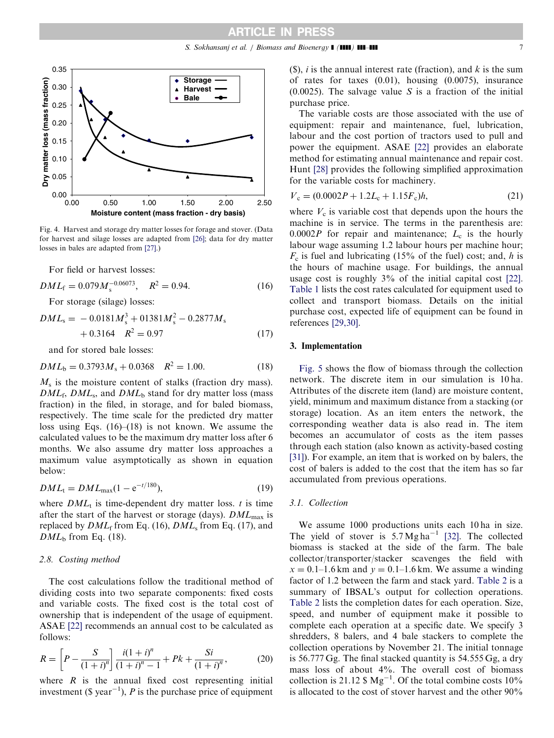<span id="page-6-0"></span>

Fig. 4. Harvest and storage dry matter losses for forage and stover. (Data for harvest and silage losses are adapted from [\[26\];](#page-9-0) data for dry matter losses in bales are adapted from [\[27\].](#page-9-0))

For field or harvest losses:

 $DML_f = 0.079 M_s^{-0.06073}, \quad R^2 = 0.94.$  (16)

For storage (silage) losses:

$$
DMLs = -0.0181Ms3 + 01381Ms2 - 0.2877Ms+ 0.3164 R2 = 0.97
$$
 (17)

and for stored bale losses:

$$
DML_b = 0.3793M_s + 0.0368 \quad R^2 = 1.00. \tag{18}
$$

 $M<sub>s</sub>$  is the moisture content of stalks (fraction dry mass).  $DML_f$ ,  $DML_s$ , and  $DML_b$  stand for dry matter loss (mass fraction) in the filed, in storage, and for baled biomass, respectively. The time scale for the predicted dry matter loss using Eqs. (16)–(18) is not known. We assume the calculated values to be the maximum dry matter loss after 6 months. We also assume dry matter loss approaches a maximum value asymptotically as shown in equation below:

$$
DML_t = DML_{\text{max}}(1 - e^{-t/180}),\tag{19}
$$

where  $DML_t$  is time-dependent dry matter loss. t is time after the start of the harvest or storage (days).  $DML_{\text{max}}$  is replaced by  $DML_f$  from Eq. (16),  $DML_s$  from Eq. (17), and  $DML_b$  from Eq. (18).

#### 2.8. Costing method

The cost calculations follow the traditional method of dividing costs into two separate components: fixed costs and variable costs. The fixed cost is the total cost of ownership that is independent of the usage of equipment. ASAE [\[22\]](#page-9-0) recommends an annual cost to be calculated as follows:

$$
R = \left[ P - \frac{S}{(1+i)^n} \right] \frac{i(1+i)^n}{(1+i)^n - 1} + Pk + \frac{Si}{(1+i)^n},
$$
(20)

where  $R$  is the annual fixed cost representing initial investment ( $\gamma$  year<sup>-1</sup>), P is the purchase price of equipment

(\$), i is the annual interest rate (fraction), and  $k$  is the sum of rates for taxes (0.01), housing (0.0075), insurance  $(0.0025)$ . The salvage value S is a fraction of the initial purchase price.

The variable costs are those associated with the use of equipment: repair and maintenance, fuel, lubrication, labour and the cost portion of tractors used to pull and power the equipment. ASAE [\[22\]](#page-9-0) provides an elaborate method for estimating annual maintenance and repair cost. Hunt [\[28\]](#page-9-0) provides the following simplified approximation for the variable costs for machinery.

$$
V_c = (0.0002P + 1.2L_c + 1.15F_c)h,
$$
\n(21)

where  $V_c$  is variable cost that depends upon the hours the machine is in service. The terms in the parenthesis are:  $0.0002P$  for repair and maintenance;  $L_c$  is the hourly labour wage assuming 1.2 labour hours per machine hour;  $F_c$  is fuel and lubricating (15% of the fuel) cost; and, h is the hours of machine usage. For buildings, the annual usage cost is roughly 3% of the initial capital cost [\[22\].](#page-9-0) [Table 1](#page-5-0) lists the cost rates calculated for equipment used to collect and transport biomass. Details on the initial purchase cost, expected life of equipment can be found in references [\[29,30\]](#page-9-0).

### 3. Implementation

[Fig. 5](#page-7-0) shows the flow of biomass through the collection network. The discrete item in our simulation is 10 ha. Attributes of the discrete item (land) are moisture content, yield, minimum and maximum distance from a stacking (or storage) location. As an item enters the network, the corresponding weather data is also read in. The item becomes an accumulator of costs as the item passes through each station (also known as activity-based costing [\[31\]\)](#page-9-0). For example, an item that is worked on by balers, the cost of balers is added to the cost that the item has so far accumulated from previous operations.

## 3.1. Collection

We assume 1000 productions units each 10 ha in size. The yield of stover is  $5.7 \text{ Mg ha}^{-1}$  [\[32\].](#page-9-0) The collected biomass is stacked at the side of the farm. The bale collector/transporter/stacker scavenges the field with  $x = 0.1$ –1.6 km and  $y = 0.1$ –1.6 km. We assume a winding factor of 1.2 between the farm and stack yard. [Table 2](#page-7-0) is a summary of IBSAL's output for collection operations. [Table 2](#page-7-0) lists the completion dates for each operation. Size, speed, and number of equipment make it possible to complete each operation at a specific date. We specify 3 shredders, 8 balers, and 4 bale stackers to complete the collection operations by November 21. The initial tonnage is 56.777 Gg. The final stacked quantity is 54.555 Gg, a dry mass loss of about 4%. The overall cost of biomass collection is 21.12 \$  $Mg^{-1}$ . Of the total combine costs 10% is allocated to the cost of stover harvest and the other 90%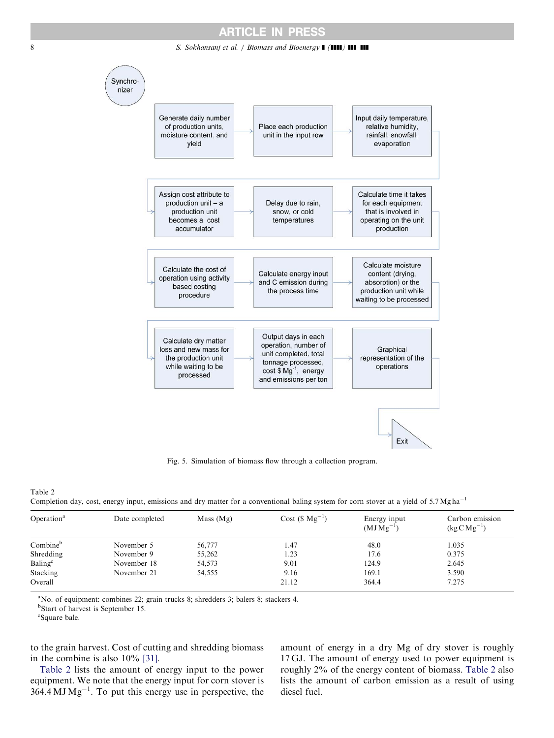<span id="page-7-0"></span>8 Sokhansanj et al. / Biomass and Bioenergy **[ (1111) 111-111** 



Fig. 5. Simulation of biomass flow through a collection program.

Table 2

Completion day, cost, energy input, emissions and dry matter for a conventional baling system for corn stover at a yield of 5.7 Mg ha<sup>-1</sup>

| Operation <sup>a</sup> | Date completed | Mass $(Mg)$ | Cost $(S \text{ Mg}^{-1})$ | Energy input<br>$(MJ Mg^{-1})$ | Carbon emission<br>$(kg C Mg^{-1})$ |
|------------------------|----------------|-------------|----------------------------|--------------------------------|-------------------------------------|
| Combineb               | November 5     | 56,777      | 1.47                       | 48.0                           | 1.035                               |
| Shredding              | November 9     | 55,262      | 1.23                       | 17.6                           | 0.375                               |
| Baling <sup>c</sup>    | November 18    | 54,573      | 9.01                       | 124.9                          | 2.645                               |
| Stacking               | November 21    | 54,555      | 9.16                       | 169.1                          | 3.590                               |
| Overall                |                |             | 21.12                      | 364.4                          | 7.275                               |

<sup>a</sup>No. of equipment: combines 22; grain trucks 8; shredders 3; balers 8; stackers 4.

b Start of harvest is September 15.

<sup>c</sup>Square bale.

to the grain harvest. Cost of cutting and shredding biomass in the combine is also 10% [\[31\]](#page-9-0).

Table 2 lists the amount of energy input to the power equipment. We note that the energy input for corn stover is  $364.4 \text{ MJ Mg}^{-1}$ . To put this energy use in perspective, the

amount of energy in a dry Mg of dry stover is roughly 17 GJ. The amount of energy used to power equipment is roughly 2% of the energy content of biomass. Table 2 also lists the amount of carbon emission as a result of using diesel fuel.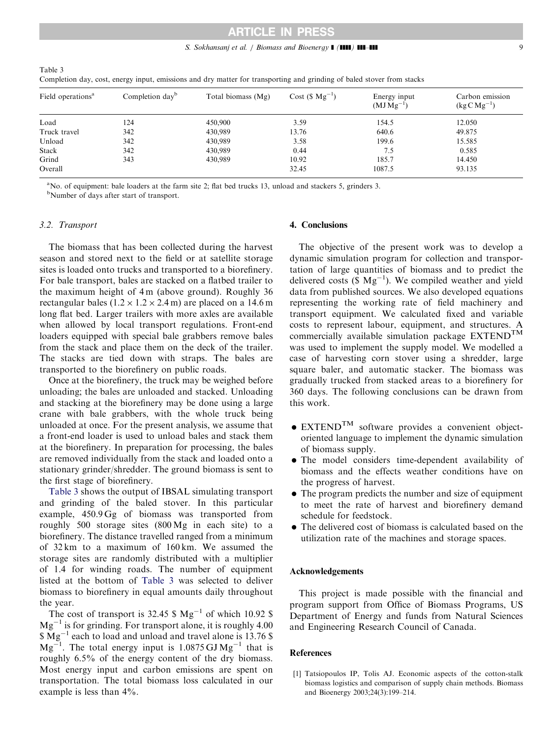#### S. Sokhansanj et al. / Biomass and Bioenergy **[ (1111) 111-111** 99

| Completion day, cost, energy input, emissions and ary matter for transporting and grinding or bailed stover from stacks |                             |                    |                            |                                |                                                                     |  |
|-------------------------------------------------------------------------------------------------------------------------|-----------------------------|--------------------|----------------------------|--------------------------------|---------------------------------------------------------------------|--|
| Field operations <sup>a</sup>                                                                                           | Completion day <sup>b</sup> | Total biomass (Mg) | Cost $(S \text{ Mg}^{-1})$ | Energy input<br>$(MJ Mg^{-1})$ | Carbon emission<br>$(\text{kg}\,\text{C}\,\text{M}\,\text{g}^{-1})$ |  |
| Load                                                                                                                    | 124                         | 450,900            | 3.59                       | 154.5                          | 12.050                                                              |  |
| Truck travel                                                                                                            | 342                         | 430.989            | 13.76                      | 640.6                          | 49.875                                                              |  |
| Unload                                                                                                                  | 342                         | 430.989            | 3.58                       | 199.6                          | 15.585                                                              |  |
| Stack                                                                                                                   | 342                         | 430.989            | 0.44                       | 7.5                            | 0.585                                                               |  |
| Grind                                                                                                                   | 343                         | 430.989            | 10.92                      | 185.7                          | 14.450                                                              |  |
| Overall                                                                                                                 |                             |                    | 32.45                      | 1087.5                         | 93.135                                                              |  |

Completion day, cost, energy input, emissions and dry matter for transporting and grinding of baled stover from stacks

a No. of equipment: bale loaders at the farm site 2; flat bed trucks 13, unload and stackers 5, grinders 3.

b Number of days after start of transport.

#### 3.2. Transport

<span id="page-8-0"></span>Table 3

The biomass that has been collected during the harvest season and stored next to the field or at satellite storage sites is loaded onto trucks and transported to a biorefinery. For bale transport, bales are stacked on a flatbed trailer to the maximum height of 4 m (above ground). Roughly 36 rectangular bales  $(1.2 \times 1.2 \times 2.4 \text{ m})$  are placed on a 14.6 m long flat bed. Larger trailers with more axles are available when allowed by local transport regulations. Front-end loaders equipped with special bale grabbers remove bales from the stack and place them on the deck of the trailer. The stacks are tied down with straps. The bales are transported to the biorefinery on public roads.

Once at the biorefinery, the truck may be weighed before unloading; the bales are unloaded and stacked. Unloading and stacking at the biorefinery may be done using a large crane with bale grabbers, with the whole truck being unloaded at once. For the present analysis, we assume that a front-end loader is used to unload bales and stack them at the biorefinery. In preparation for processing, the bales are removed individually from the stack and loaded onto a stationary grinder/shredder. The ground biomass is sent to the first stage of biorefinery.

Table 3 shows the output of IBSAL simulating transport and grinding of the baled stover. In this particular example, 450.9 Gg of biomass was transported from roughly 500 storage sites (800 Mg in each site) to a biorefinery. The distance travelled ranged from a minimum of 32 km to a maximum of 160 km. We assumed the storage sites are randomly distributed with a multiplier of 1.4 for winding roads. The number of equipment listed at the bottom of Table 3 was selected to deliver biomass to biorefinery in equal amounts daily throughout the year.

The cost of transport is 32.45  $\text{\textdegree}$  Mg<sup>-1</sup> of which 10.92  $\text{\textdegree}$  $Mg^{-1}$  is for grinding. For transport alone, it is roughly 4.00  $$ Mg<sup>-1</sup>$  each to load and unload and travel alone is 13.76 \$  $Mg^{-1}$ . The total energy input is 1.0875 GJ  $Mg^{-1}$  that is roughly 6.5% of the energy content of the dry biomass. Most energy input and carbon emissions are spent on transportation. The total biomass loss calculated in our example is less than 4%.

## 4. Conclusions

The objective of the present work was to develop a dynamic simulation program for collection and transportation of large quantities of biomass and to predict the delivered costs  $(\hat{S} \text{ Mg}^{-1})$ . We compiled weather and yield data from published sources. We also developed equations representing the working rate of field machinery and transport equipment. We calculated fixed and variable costs to represent labour, equipment, and structures. A commercially available simulation package  $EXTEND^{TM}$ was used to implement the supply model. We modelled a case of harvesting corn stover using a shredder, large square baler, and automatic stacker. The biomass was gradually trucked from stacked areas to a biorefinery for 360 days. The following conclusions can be drawn from this work.

- EXTENDTM software provides a convenient objectoriented language to implement the dynamic simulation of biomass supply.
- The model considers time-dependent availability of biomass and the effects weather conditions have on the progress of harvest.
- The program predicts the number and size of equipment to meet the rate of harvest and biorefinery demand schedule for feedstock.
- The delivered cost of biomass is calculated based on the utilization rate of the machines and storage spaces.

#### Acknowledgements

This project is made possible with the financial and program support from Office of Biomass Programs, US Department of Energy and funds from Natural Sciences and Engineering Research Council of Canada.

#### References

[1] Tatsiopoulos IP, Tolis AJ. Economic aspects of the cotton-stalk biomass logistics and comparison of supply chain methods. Biomass and Bioenergy 2003;24(3):199–214.